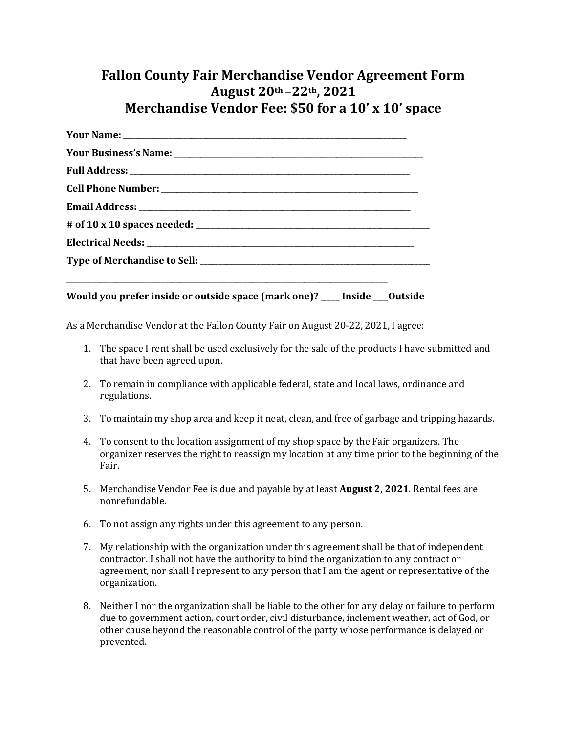## **Fallon County Fair Merchandise Vendor Agreement Form August 20th –22th, 2021 Merchandise Vendor Fee: \$50 for a 10' x 10' space**

**Would you prefer inside or outside space (mark one)?** \_\_\_\_\_ **Inside** \_\_\_\_**Outside** 

\_\_\_\_\_\_\_\_\_\_\_\_\_\_\_\_\_\_\_\_\_\_\_\_\_\_\_\_\_\_\_\_\_\_\_\_\_\_\_\_\_\_\_\_\_\_\_\_\_\_\_\_\_\_\_\_\_\_\_\_\_\_\_\_\_\_\_\_\_\_\_\_\_\_\_\_\_\_\_\_\_\_\_\_\_

As a Merchandise Vendor at the Fallon County Fair on August 20-22, 2021, I agree:

- 1. The space I rent shall be used exclusively for the sale of the products I have submitted and that have been agreed upon.
- 2. To remain in compliance with applicable federal, state and local laws, ordinance and regulations.
- 3. To maintain my shop area and keep it neat, clean, and free of garbage and tripping hazards.
- 4. To consent to the location assignment of my shop space by the Fair organizers. The organizer reserves the right to reassign my location at any time prior to the beginning of the Fair.
- 5. Merchandise Vendor Fee is due and payable by at least **August 2, 2021**. Rental fees are nonrefundable.
- 6. To not assign any rights under this agreement to any person.
- 7. My relationship with the organization under this agreement shall be that of independent contractor. I shall not have the authority to bind the organization to any contract or agreement, nor shall I represent to any person that I am the agent or representative of the organization.
- 8. Neither I nor the organization shall be liable to the other for any delay or failure to perform due to government action, court order, civil disturbance, inclement weather, act of God, or other cause beyond the reasonable control of the party whose performance is delayed or prevented.